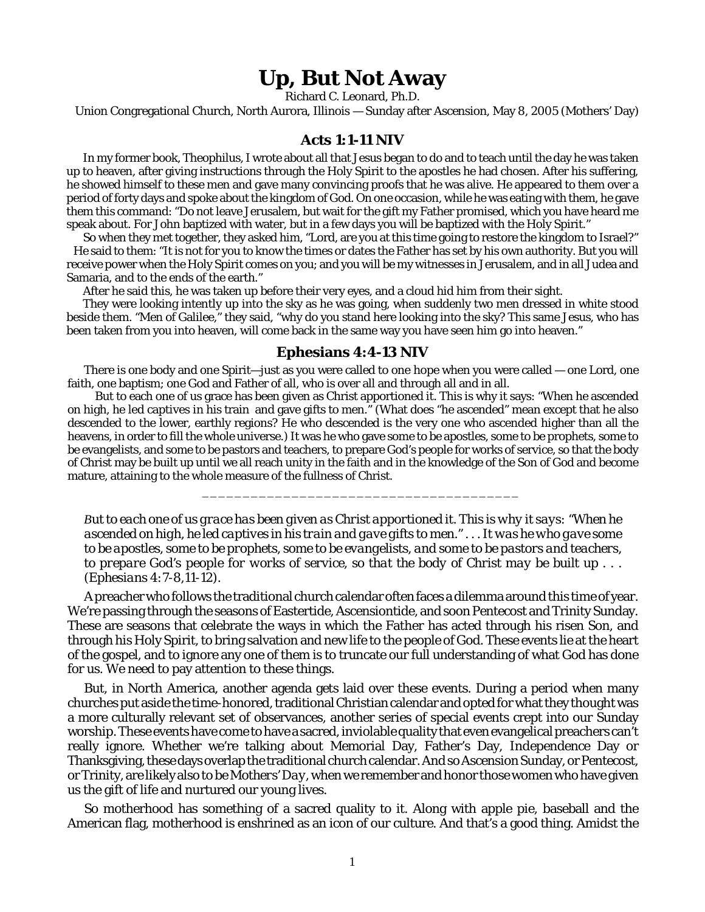## **Up, But Not Away**

Richard C. Leonard, Ph.D.

Union Congregational Church, North Aurora, Illinois — Sunday after Ascension, May 8, 2005 (Mothers' Day)

## **Acts 1:1-11 NIV**

In my former book, Theophilus, I wrote about all that Jesus began to do and to teach until the day he was taken up to heaven, after giving instructions through the Holy Spirit to the apostles he had chosen. After his suffering, he showed himself to these men and gave many convincing proofs that he was alive. He appeared to them over a period of forty days and spoke about the kingdom of God. On one occasion, while he was eating with them, he gave them this command: "Do not leave Jerusalem, but wait for the gift my Father promised, which you have heard me speak about. For John baptized with water, but in a few days you will be baptized with the Holy Spirit."

So when they met together, they asked him, "Lord, are you at this time going to restore the kingdom to Israel?" He said to them: "It is not for you to know the times or dates the Father has set by his own authority. But you will receive power when the Holy Spirit comes on you; and you will be my witnesses in Jerusalem, and in all Judea and Samaria, and to the ends of the earth."

After he said this, he was taken up before their very eyes, and a cloud hid him from their sight.

They were looking intently up into the sky as he was going, when suddenly two men dressed in white stood beside them. "Men of Galilee," they said, "why do you stand here looking into the sky? This same Jesus, who has been taken from you into heaven, will come back in the same way you have seen him go into heaven."

## **Ephesians 4:4-13 NIV**

There is one body and one Spirit—just as you were called to one hope when you were called — one Lord, one faith, one baptism; one God and Father of all, who is over all and through all and in all.

 But to each one of us grace has been given as Christ apportioned it. This is why it says: "When he ascended on high, he led captives in his train and gave gifts to men." (What does "he ascended" mean except that he also descended to the lower, earthly regions? He who descended is the very one who ascended higher than all the heavens, in order to fill the whole universe.) It was he who gave some to be apostles, some to be prophets, some to be evangelists, and some to be pastors and teachers, to prepare God's people for works of service, so that the body of Christ may be built up until we all reach unity in the faith and in the knowledge of the Son of God and become mature, attaining to the whole measure of the fullness of Christ.

*But to each one of us grace has been given as Christ apportioned it. This is why it says: "When he ascended on high, he led captives in his train and gave gifts to men." . . . It was he who gave some to be apostles, some to be prophets, some to be evangelists, and some to be pastors and teachers, to prepare God's people for works of service, so that the body of Christ may be built up . . . (Ephesians 4:7-8,11-12).*

\_\_\_\_\_\_\_\_\_\_\_\_\_\_\_\_\_\_\_\_\_\_\_\_\_\_\_\_\_\_\_\_\_\_\_\_\_\_\_

A preacher who follows the traditional church calendar often faces a dilemma around this time of year. We're passing through the seasons of Eastertide, Ascensiontide, and soon Pentecost and Trinity Sunday. These are seasons that celebrate the ways in which the Father has acted through his risen Son, and through his Holy Spirit, to bring salvation and new life to the people of God. These events lie at the heart of the gospel, and to ignore any one of them is to truncate our full understanding of what God has done for us. We need to pay attention to these things.

But, in North America, another agenda gets laid over these events. During a period when many churches put aside the time-honored, traditional Christian calendar and opted for what they thought was a more culturally relevant set of observances, another series of special events crept into our Sunday worship. These events have come to have a sacred, inviolable quality that even evangelical preachers can't really ignore. Whether we're talking about Memorial Day, Father's Day, Independence Day or Thanksgiving, these days overlap the traditional church calendar. And so Ascension Sunday, or Pentecost, or Trinity, are likely also to be*Mothers' Day*, when we remember and honor thosewomenwho have given us the gift of life and nurtured our young lives.

So motherhood has something of a sacred quality to it. Along with apple pie, baseball and the American flag, motherhood is enshrined as an icon of our culture. And that's a good thing. Amidst the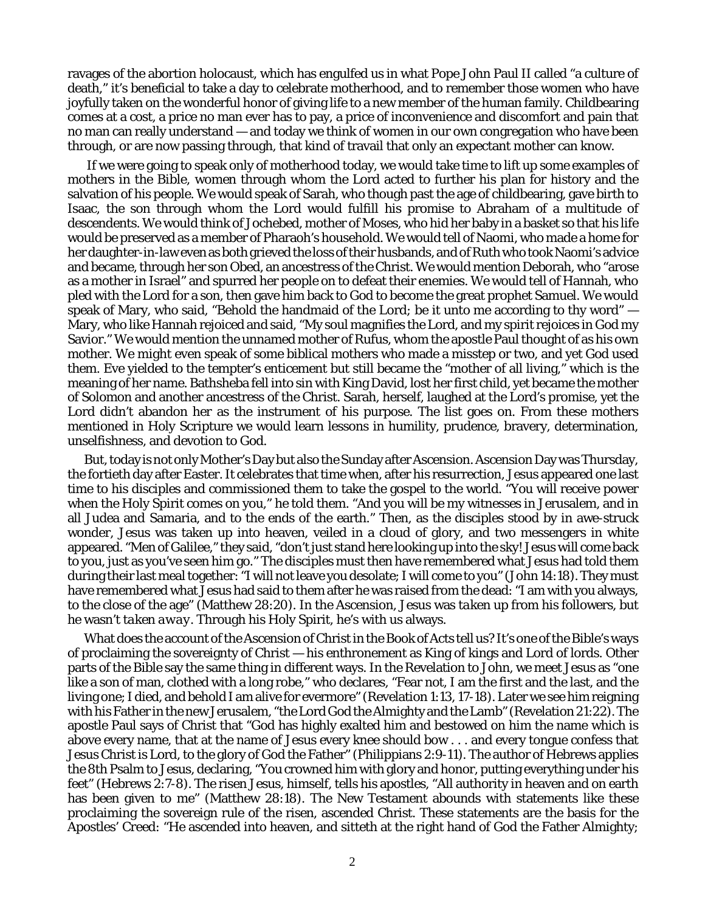ravages of the abortion holocaust, which has engulfed us in what Pope John Paul II called "a culture of death," it's beneficial to take a day to celebrate motherhood, and to remember those women who have joyfully taken on the wonderful honor of giving life to a new member of the human family. Childbearing comes at a cost, a price no man ever has to pay, a price of inconvenience and discomfort and pain that no man can really understand — and today we think of women in our own congregation who have been through, or are now passing through, that kind of travail that only an expectant mother can know.

 If we were going to speak only of motherhood today, we would take time to lift up some examples of mothers in the Bible, women through whom the Lord acted to further his plan for history and the salvation of his people. We would speak of Sarah, who though past the age of childbearing, gave birth to Isaac, the son through whom the Lord would fulfill his promise to Abraham of a multitude of descendents. We would think of Jochebed, mother of Moses, who hid her baby in a basket so that his life would be preserved as a member of Pharaoh's household. We would tell of Naomi, who made a home for her daughter-in-law even as both grieved the loss of their husbands, and of Ruth who took Naomi's advice and became, through her son Obed, an ancestress of the Christ. We would mention Deborah, who "arose as a mother in Israel" and spurred her people on to defeat their enemies. We would tell of Hannah, who pled with the Lord for a son, then gave him back to God to become the great prophet Samuel. We would speak of Mary, who said, "Behold the handmaid of the Lord; be it unto me according to thy word" — Mary, who like Hannah rejoiced and said, "My soul magnifies the Lord, and my spirit rejoices in God my Savior." We would mention the unnamed mother of Rufus, whom the apostle Paul thought of as his own mother. We might even speak of some biblical mothers who made a misstep or two, and yet God used them. Eve yielded to the tempter's enticement but still became the "mother of all living," which is the meaning of her name. Bathsheba fell into sin with King David, lost her first child, yet became the mother of Solomon and another ancestress of the Christ. Sarah, herself, laughed at the Lord's promise, yet the Lord didn't abandon her as the instrument of his purpose. The list goes on. From these mothers mentioned in Holy Scripture we would learn lessons in humility, prudence, bravery, determination, unselfishness, and devotion to God.

But, today is not only Mother's Day but also the Sunday after Ascension. Ascension Day was Thursday, the fortieth day after Easter. It celebrates that time when, after his resurrection, Jesus appeared one last time to his disciples and commissioned them to take the gospel to the world. "You will receive power when the Holy Spirit comes on you," he told them. "And you will be my witnesses in Jerusalem, and in all Judea and Samaria, and to the ends of the earth." Then, as the disciples stood by in awe-struck wonder, Jesus was taken up into heaven, veiled in a cloud of glory, and two messengers in white appeared. "Men of Galilee," they said, "don't just stand here looking up into the sky! Jesus will come back to you, just as you've seen him go." The disciples must then have remembered what Jesus had told them during their last meal together: "I will not leave you desolate; I will come to you" (John 14:18). They must have remembered what Jesus had said to them after he was raised from the dead: "I am with you always, to the close of the age" (Matthew 28:20). In the Ascension, Jesus was *taken up* from his followers, but he wasn't *taken away.* Through his Holy Spirit, he's with us always.

What does the account of the Ascension of Christ in the Book of Acts tell us? It's one of the Bible's ways of proclaiming the sovereignty of Christ — his enthronement as King of kings and Lord of lords. Other parts of the Bible say the same thing in different ways. In the Revelation to John, we meet Jesus as "one like a son of man, clothed with a long robe," who declares, "Fear not, I am the first and the last, and the living one; I died, and behold I am alive for evermore" (Revelation 1:13, 17-18). Later we see him reigning with his Father in the new Jerusalem, "the Lord God the Almighty and the Lamb" (Revelation 21:22). The apostle Paul says of Christ that "God has highly exalted him and bestowed on him the name which is above every name, that at the name of Jesus every knee should bow . . . and every tongue confess that Jesus Christ is Lord, to the glory of God the Father" (Philippians 2:9-11). The author of Hebrews applies the 8th Psalm to Jesus, declaring, "You crowned him with glory and honor, putting everything under his feet" (Hebrews 2:7-8). The risen Jesus, himself, tells his apostles, "All authority in heaven and on earth has been given to me" (Matthew 28:18). The New Testament abounds with statements like these proclaiming the sovereign rule of the risen, ascended Christ. These statements are the basis for the Apostles' Creed: "He ascended into heaven, and sitteth at the right hand of God the Father Almighty;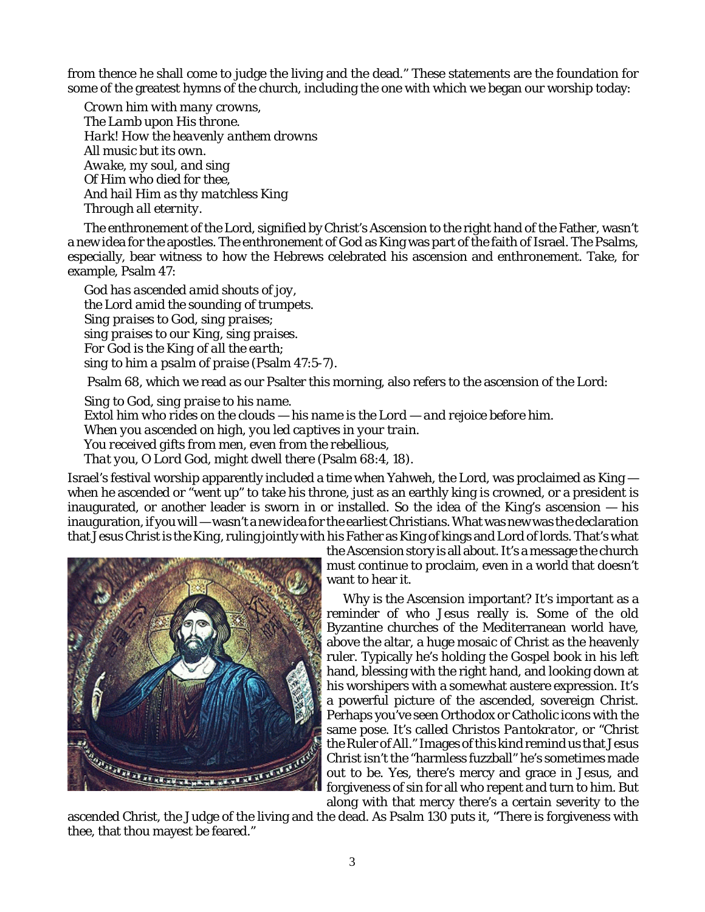from thence he shall come to judge the living and the dead." These statements are the foundation for some of the greatest hymns of the church, including the one with which we began our worship today:

*Crown him with many crowns, The Lamb upon His throne. Hark! How the heavenly anthem drowns All music but its own. Awake, my soul, and sing Of Him who died for thee, And hail Him as thy matchless King Through all eternity.*

The enthronement of the Lord, signified by Christ's Ascension to the right hand of the Father, wasn't a new idea for the apostles. The enthronement of God as King was part of the faith of Israel. The Psalms, especially, bear witness to how the Hebrews celebrated his ascension and enthronement. Take, for example, Psalm 47:

*God has ascended amid shouts of joy, the Lord amid the sounding of trumpets. Sing praises to God, sing praises; sing praises to our King, sing praises. For God is the King of all the earth; sing to him a psalm of praise* (Psalm 47:5-7).

Psalm 68, which we read as our Psalter this morning, also refers to the ascension of the Lord:

*Sing to God, sing praise to his name. Extol him who rides on the clouds — his name is the Lord — and rejoice before him. When you ascended on high, you led captives in your train. You received gifts from men, even from the rebellious, That you, O Lord God, might dwell there* (Psalm 68:4, 18).

Israel's festival worship apparently included a time when Yahweh, the Lord, was proclaimed as King when he ascended or "went up" to take his throne, just as an earthly king is crowned, or a president is inaugurated, or another leader is sworn in or installed. So the idea of the King's ascension — his inauguration, if you will — wasn't a new idea for the earliest Christians. What was new was the declaration that *Jesus Christ is the King*, ruling jointly with his Father as King of kings and Lord of lords. That's what



the Ascension story is all about. It's a message the church must continue to proclaim, even in a world that doesn't want to hear it.

Why is the Ascension important? It's important as a reminder of who Jesus really is. Some of the old Byzantine churches of the Mediterranean world have, above the altar, a huge mosaic of Christ as the heavenly ruler. Typically he's holding the Gospel book in his left hand, blessing with the right hand, and looking down at his worshipers with a somewhat austere expression. It's a powerful picture of the ascended, sovereign Christ. Perhaps you've seen Orthodox or Catholic icons with the same pose. It's called *Christos Pantokrator*, or "Christ the Ruler of All." Images of this kind remind us that Jesus Christ isn't the "harmless fuzzball" he's sometimes made out to be. Yes, there's mercy and grace in Jesus, and forgiveness of sin for all who repent and turn to him. But along with that mercy there's a certain severity to the

ascended Christ, the Judge of the living and the dead. As Psalm 130 puts it, "There is forgiveness with thee, that thou mayest be feared."